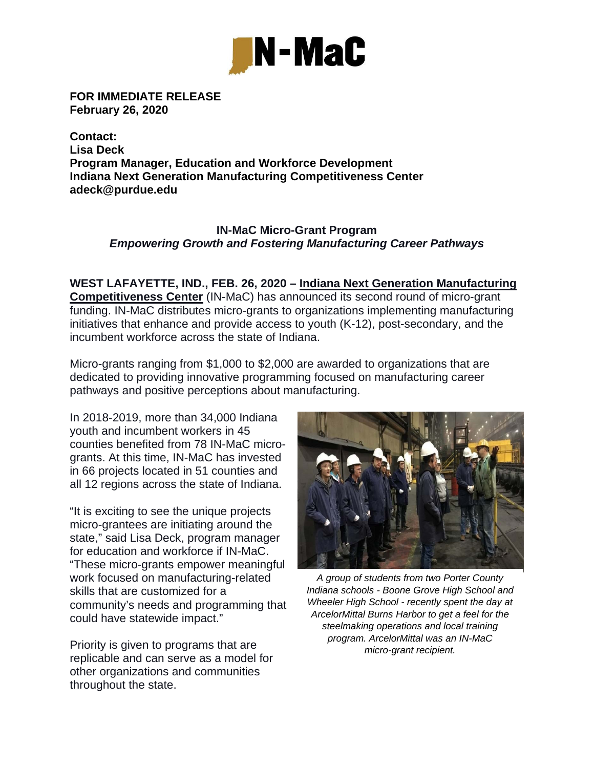

**FOR IMMEDIATE RELEASE February 26, 2020** 

**Contact: Lisa Deck Program Manager, Education and Workforce Development Indiana Next Generation Manufacturing Competitiveness Center adeck@purdue.edu** 

## **IN-MaC Micro-Grant Program** *Empowering Growth and Fostering Manufacturing Career Pathways*

**WEST LAFAYETTE, IND., FEB. 26, 2020 – Indiana Next Generation Manufacturing Competitiveness Center** (IN-MaC) has announced its second round of micro-grant funding. IN-MaC distributes micro-grants to organizations implementing manufacturing initiatives that enhance and provide access to youth (K-12), post-secondary, and the incumbent workforce across the state of Indiana.

Micro-grants ranging from \$1,000 to \$2,000 are awarded to organizations that are dedicated to providing innovative programming focused on manufacturing career pathways and positive perceptions about manufacturing.

In 2018-2019, more than 34,000 Indiana youth and incumbent workers in 45 counties benefited from 78 IN-MaC microgrants. At this time, IN-MaC has invested in 66 projects located in 51 counties and all 12 regions across the state of Indiana.

"It is exciting to see the unique projects micro-grantees are initiating around the state," said Lisa Deck, program manager for education and workforce if IN-MaC. "These micro-grants empower meaningful work focused on manufacturing-related skills that are customized for a community's needs and programming that could have statewide impact."

Priority is given to programs that are replicable and can serve as a model for other organizations and communities throughout the state.



*A group of students from two Porter County Indiana schools - Boone Grove High School and Wheeler High School - recently spent the day at ArcelorMittal Burns Harbor to get a feel for the steelmaking operations and local training program. ArcelorMittal was an IN-MaC micro-grant recipient.*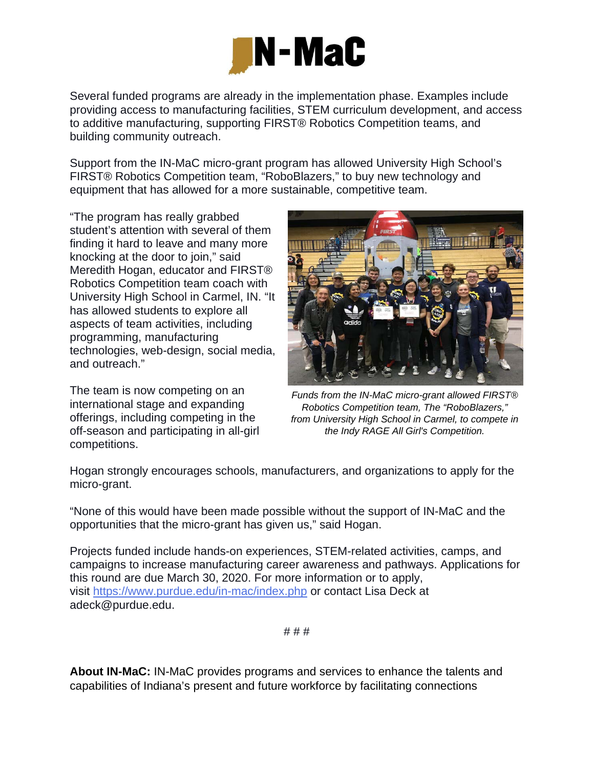

Several funded programs are already in the implementation phase. Examples include providing access to manufacturing facilities, STEM curriculum development, and access to additive manufacturing, supporting FIRST® Robotics Competition teams, and building community outreach.

Support from the IN-MaC micro-grant program has allowed University High School's FIRST® Robotics Competition team, "RoboBlazers," to buy new technology and equipment that has allowed for a more sustainable, competitive team.

"The program has really grabbed student's attention with several of them finding it hard to leave and many more knocking at the door to join," said Meredith Hogan, educator and FIRST® Robotics Competition team coach with University High School in Carmel, IN. "It has allowed students to explore all aspects of team activities, including programming, manufacturing technologies, web-design, social media, and outreach."

The team is now competing on an international stage and expanding offerings, including competing in the off-season and participating in all-girl competitions.



*Funds from the IN-MaC micro-grant allowed FIRST® Robotics Competition team, The "RoboBlazers," from University High School in Carmel, to compete in the Indy RAGE All Girl's Competition.* 

Hogan strongly encourages schools, manufacturers, and organizations to apply for the micro-grant.

"None of this would have been made possible without the support of IN-MaC and the opportunities that the micro-grant has given us," said Hogan.

Projects funded include hands-on experiences, STEM-related activities, camps, and campaigns to increase manufacturing career awareness and pathways. Applications for this round are due March 30, 2020. For more information or to apply, visit https://www.purdue.edu/in-mac/index.php or contact Lisa Deck at adeck@purdue.edu.

# # #

**About IN-MaC:** IN-MaC provides programs and services to enhance the talents and capabilities of Indiana's present and future workforce by facilitating connections